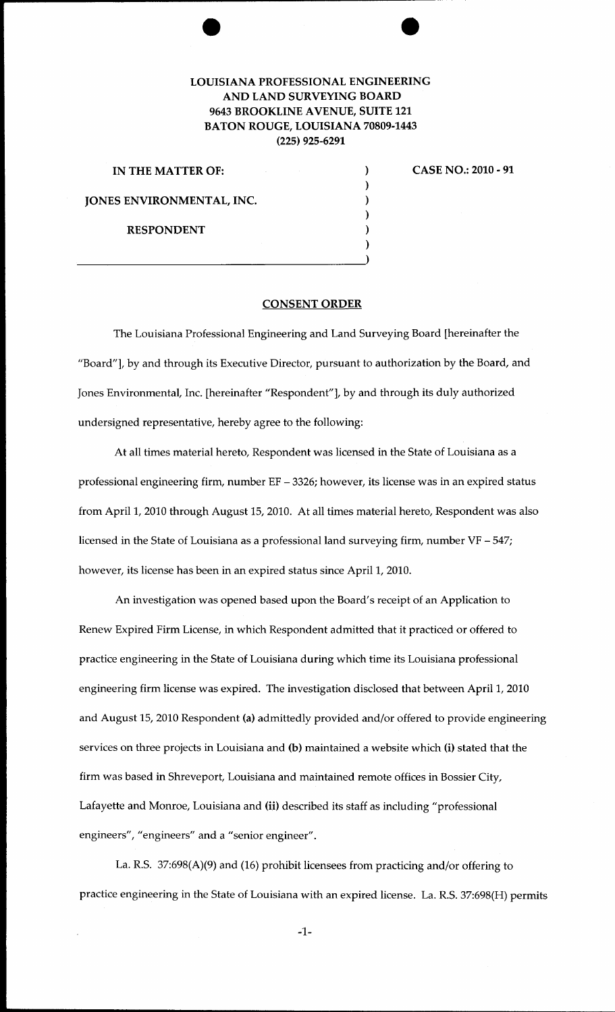## LOUISIANA PROFESSIONAL ENGINEERING AND LAND SURVEYING BOARD 9643 BROOKLINE A VENUE, SUITE 121 BATON ROUGE, LOUISIANA 70809-1443 (225) 925-6291

| IN THE MATTER OF:         |  |
|---------------------------|--|
|                           |  |
| JONES ENVIRONMENTAL, INC. |  |
|                           |  |
| <b>RESPONDENT</b>         |  |
|                           |  |
|                           |  |

CASE NO.: 2010 - 91

## CONSENT ORDER

The Louisiana Professional Engineering and Land Surveying Board [hereinafter the "Board"], by and through its Executive Director, pursuant to authorization by the Board, and Jones Environmental, Inc. [hereinafter "Respondent"], by and through its duly authorized undersigned representative, hereby agree to the following:

At all times material hereto, Respondent was licensed in the State of Louisiana as a professional engineering firm, number EF - 3326; however, its license was in an expired status from April 1, 2010 through August 15, 2010. At all times material hereto, Respondent was also licensed in the State of Louisiana as a professional land surveying firm, number VF - 547; however, its license has been in an expired status since April 1, 2010.

An investigation was opened based upon the Board's receipt of an Application to Renew Expired Firm License, in which Respondent admitted that it practiced or offered to practice engineering in the State of Louisiana during which time its Louisiana professional engineering firm license was expired. The investigation disclosed that between April 1, 2010 and August 15, 2010 Respondent (a) admittedly provided and/or offered to provide engineering services on three projects in Louisiana and (b) maintained a website which (i) stated that the firm was based in Shreveport, Louisiana and maintained remote offices in Bossier City, Lafayette and Monroe, Louisiana and (ii) described its staff as including "professional engineers", "engineers" and a "senior engineer".

La. R.S. 37:698(A)(9) and (16) prohibit licensees from practicing and/or offering to practice engineering in the State of Louisiana with an expired license. La. R.S. 37:698(H) permits

-1-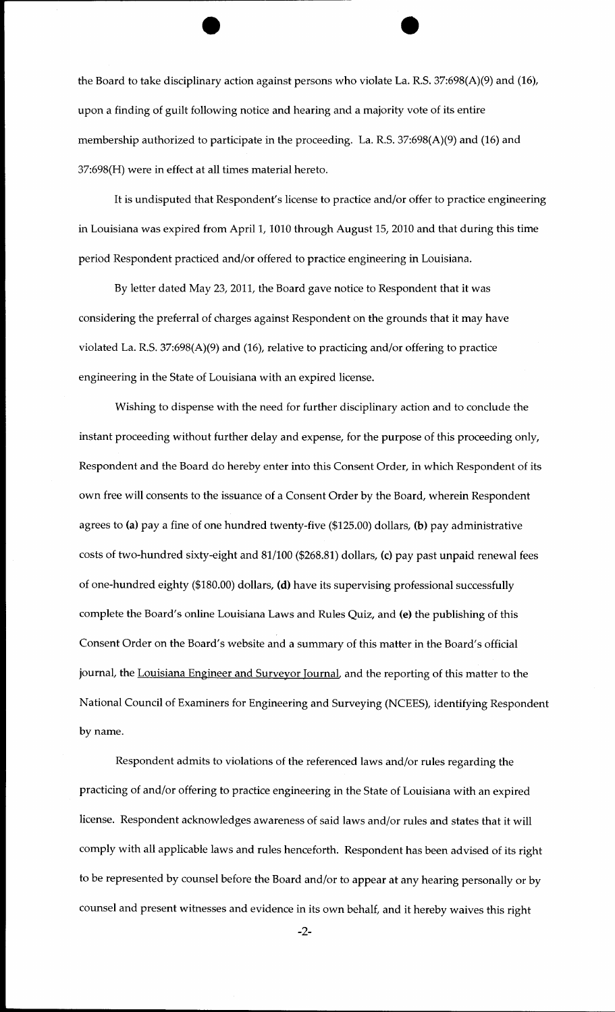the Board to take disciplinary action against persons who violate La. R.S. 37:698(A)(9) and (16), upon a finding of guilt following notice and hearing and a majority vote of its entire membership authorized to participate in the proceeding. La. R.S. 37:698(A)(9) and (16) and 37:698(H) were in effect at all times material hereto.

It is undisputed that Respondent's license to practice and/or offer to practice engineering in Louisiana was expired from April 1, 1010 through August 15, 2010 and that during this time period Respondent practiced and/or offered to practice engineering in Louisiana.

By letter dated May 23, 2011, the Board gave notice to Respondent that it was considering the preferral of charges against Respondent on the grounds that it may have violated La. R.S. 37:698(A)(9) and (16), relative to practicing and/or offering to practice engineering in the State of Louisiana with an expired license.

Wishing to dispense with the need for further disciplinary action and to conclude the instant proceeding without further delay and expense, for the purpose of this proceeding only, Respondent and the Board do hereby enter into this Consent Order, in which Respondent of its own free will consents to the issuance of a Consent Order by the Board, wherein Respondent agrees to (a) pay a fine of one hundred twenty-five (\$125.00) dollars, (b) pay administrative costs of two-hundred sixty-eight and 81/100 (\$268.81) dollars, (c) pay past unpaid renewal fees of one-hundred eighty (\$180.00) dollars, (d) have its supervising professional successfully complete the Board's online Louisiana Laws and Rules Quiz, and (e) the publishing of this Consent Order on the Board's website and a summary of this matter in the Board's official journal, the Louisiana Engineer and Surveyor Journal, and the reporting of this matter to the National Council of Examiners for Engineering and Surveying (NCEES), identifying Respondent by name.

Respondent admits to violations of the referenced laws and/or rules regarding the practicing of and/or offering to practice engineering in the State of Louisiana with an expired license. Respondent acknowledges awareness of said laws and/or rules and states that it will comply with all applicable laws and rules henceforth. Respondent has been advised of its right to be represented by counsel before the Board and/or to appear at any hearing personally or by counsel and present witnesses and evidence in its own behalf, and it hereby waives this right

-2-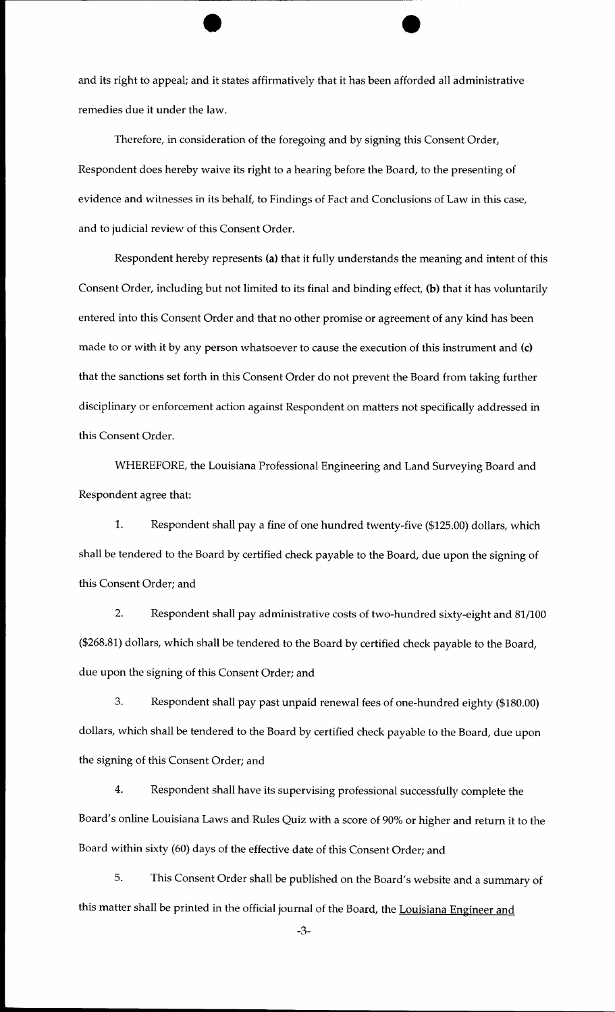and its right to appeal; and it states affirmatively that it has been afforded all administrative remedies due it under the law.

Therefore, in consideration of the foregoing and by signing this Consent Order, Respondent does hereby waive its right to a hearing before the Board, to the presenting of evidence and witnesses in its behalf, to Findings of Fact and Conclusions of Law in this case, and to judicial review of this Consent Order.

Respondent hereby represents (a) that it fully understands the meaning and intent of this Consent Order, including but not limited to its final and binding effect, (b) that it has voluntarily entered into this Consent Order and that no other promise or agreement of any kind has been made to or with it by any person whatsoever to cause the execution of this instrument and (c) that the sanctions set forth in this Consent Order do not prevent the Board from taking further disciplinary or enforcement action against Respondent on matters not specifically addressed in this Consent Order.

WHEREFORE, the Louisiana Professional Engineering and Land Surveying Board and Respondent agree that:

1. Respondent shall pay a fine of one hundred twenty-five (\$125.00) dollars, which shall be tendered to the Board by certified check payable to the Board, due upon the signing of this Consent Order; and

2. Respondent shall pay administrative costs of two-hundred sixty-eight and 81/100 (\$268.81) dollars, which shall be tendered to the Board by certified check payable to the Board, due upon the signing of this Consent Order; and

3. Respondent shall pay past unpaid renewal fees of one-hundred eighty (\$180.00) dollars, which shall be tendered to the Board by certified check payable to the Board, due upon the signing of this Consent Order; and

4. Respondent shall have its supervising professional successfully complete the Board's online Louisiana Laws and Rules Quiz with a score of 90% or higher and return it to the Board within sixty (60) days of the effective date of this Consent Order; and

5. This Consent Order shall be published on the Board's website and a summary of this matter shall be printed in the official journal of the Board, the Louisiana Engineer and

-3-